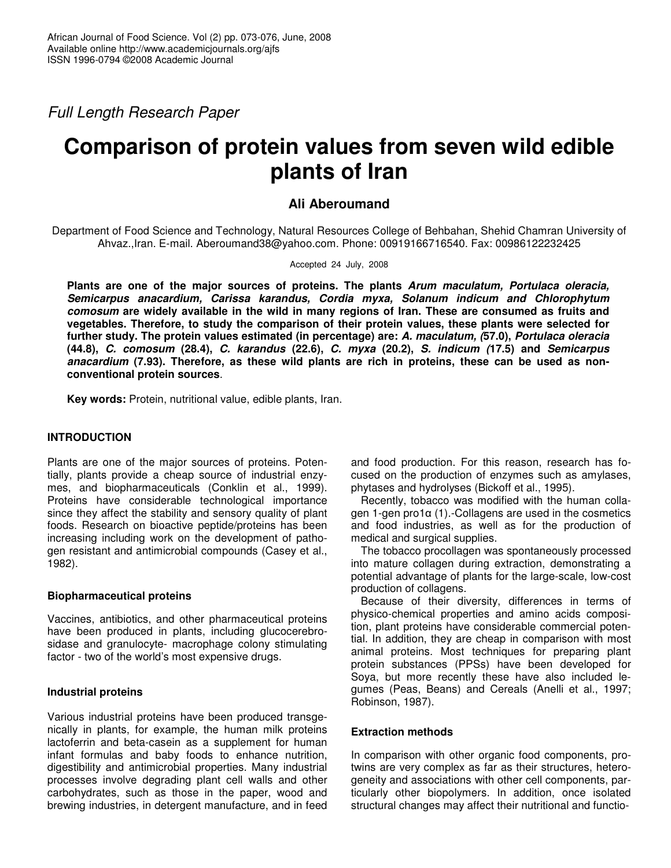*Full Length Research Paper*

# **Comparison of protein values from seven wild edible plants of Iran**

## **Ali Aberoumand**

Department of Food Science and Technology, Natural Resources College of Behbahan, Shehid Chamran University of Ahvaz.,Iran. E-mail. Aberoumand38@yahoo.com. Phone: 00919166716540. Fax: 00986122232425

Accepted 24 July, 2008

**Plants are one of the major sources of proteins. The plants** *Arum maculatum, Portulaca oleracia, Semicarpus anacardium, Carissa karandus, Cordia myxa, Solanum indicum and Chlorophytum comosum* **are widely available in the wild in many regions of Iran. These are consumed as fruits and vegetables. Therefore, to study the comparison of their protein values, these plants were selected for further study. The protein values estimated (in percentage) are:** *A. maculatum, (***57.0),** *Portulaca oleracia* **(44.8),** *C. comosum* **(28.4),** *C. karandus* **(22.6),** *C. myxa* **(20.2),** *S. indicum (***17.5) and** *Semicarpus anacardium* **(7.93). Therefore, as these wild plants are rich in proteins, these can be used as nonconventional protein sources**.

**Key words:** Protein, nutritional value, edible plants, Iran.

## **INTRODUCTION**

Plants are one of the major sources of proteins. Potentially, plants provide a cheap source of industrial enzymes, and biopharmaceuticals (Conklin et al., 1999). Proteins have considerable technological importance since they affect the stability and sensory quality of plant foods. Research on bioactive peptide/proteins has been increasing including work on the development of pathogen resistant and antimicrobial compounds (Casey et al., 1982).

## **Biopharmaceutical proteins**

Vaccines, antibiotics, and other pharmaceutical proteins have been produced in plants, including glucocerebrosidase and granulocyte- macrophage colony stimulating factor - two of the world's most expensive drugs.

#### **Industrial proteins**

Various industrial proteins have been produced transgenically in plants, for example, the human milk proteins lactoferrin and beta-casein as a supplement for human infant formulas and baby foods to enhance nutrition, digestibility and antimicrobial properties. Many industrial processes involve degrading plant cell walls and other carbohydrates, such as those in the paper, wood and brewing industries, in detergent manufacture, and in feed

and food production. For this reason, research has focused on the production of enzymes such as amylases, phytases and hydrolyses (Bickoff et al., 1995).

Recently, tobacco was modified with the human collagen 1-gen pro1 $\alpha$  (1).-Collagens are used in the cosmetics and food industries, as well as for the production of medical and surgical supplies.

The tobacco procollagen was spontaneously processed into mature collagen during extraction, demonstrating a potential advantage of plants for the large-scale, low-cost production of collagens.

Because of their diversity, differences in terms of physico-chemical properties and amino acids composition, plant proteins have considerable commercial potential. In addition, they are cheap in comparison with most animal proteins. Most techniques for preparing plant protein substances (PPSs) have been developed for Soya, but more recently these have also included legumes (Peas, Beans) and Cereals (Anelli et al., 1997; Robinson, 1987).

## **Extraction methods**

In comparison with other organic food components, protwins are very complex as far as their structures, heterogeneity and associations with other cell components, particularly other biopolymers. In addition, once isolated structural changes may affect their nutritional and functio-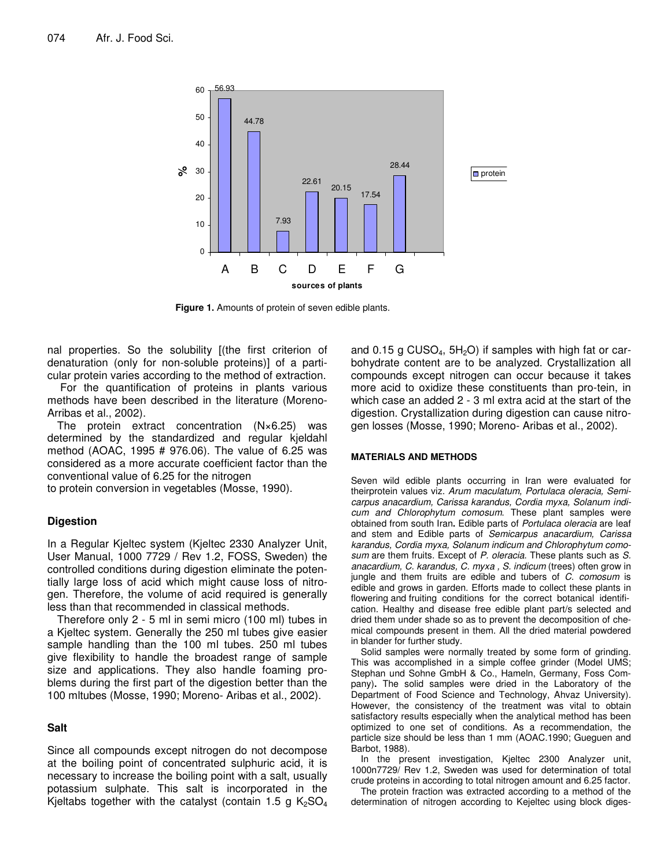

**Figure 1.** Amounts of protein of seven edible plants.

nal properties. So the solubility [(the first criterion of denaturation (only for non-soluble proteins)] of a particular protein varies according to the method of extraction.

For the quantification of proteins in plants various methods have been described in the literature (Moreno-Arribas et al., 2002).

The protein extract concentration (N×6.25) was determined by the standardized and regular kjeldahl method (AOAC, 1995 # 976.06). The value of 6.25 was considered as a more accurate coefficient factor than the conventional value of 6.25 for the nitrogen

to protein conversion in vegetables (Mosse, 1990).

#### **Digestion**

In a Regular Kjeltec system (Kjeltec 2330 Analyzer Unit, User Manual, 1000 7729 / Rev 1.2, FOSS, Sweden) the controlled conditions during digestion eliminate the potentially large loss of acid which might cause loss of nitrogen. Therefore, the volume of acid required is generally less than that recommended in classical methods.

Therefore only 2 - 5 ml in semi micro (100 ml) tubes in a Kjeltec system. Generally the 250 ml tubes give easier sample handling than the 100 ml tubes. 250 ml tubes give flexibility to handle the broadest range of sample size and applications. They also handle foaming problems during the first part of the digestion better than the 100 mltubes (Mosse, 1990; Moreno- Aribas et al., 2002).

#### **Salt**

Since all compounds except nitrogen do not decompose at the boiling point of concentrated sulphuric acid, it is necessary to increase the boiling point with a salt, usually potassium sulphate. This salt is incorporated in the Kjeltabs together with the catalyst (contain 1.5 g  $K_2SO_4$ 

and 0.15 g CUSO<sub>4</sub>,  $5H<sub>2</sub>O$ ) if samples with high fat or carbohydrate content are to be analyzed. Crystallization all compounds except nitrogen can occur because it takes more acid to oxidize these constituents than pro-tein, in which case an added 2 - 3 ml extra acid at the start of the digestion. Crystallization during digestion can cause nitrogen losses (Mosse, 1990; Moreno- Aribas et al., 2002).

#### **MATERIALS AND METHODS**

Seven wild edible plants occurring in Iran were evaluated for theirprotein values viz. *Arum maculatum, Portulaca oleracia, Semicarpus anacardium, Carissa karandus, Cordia myxa, Solanum indicum and Chlorophytum comosum*. These plant samples were obtained from south Iran**.** Edible parts of *Portulaca oleracia* are leaf and stem and Edible parts of *Semicarpus anacardium, Carissa karandus, Cordia myxa, Solanum indicum and Chlorophytum comosum* are them fruits. Except of *P. oleracia*. These plants such as *S. anacardium, C. karandus, C. myxa , S. indicum* (trees) often grow in jungle and them fruits are edible and tubers of *C. comosum* is edible and grows in garden. Efforts made to collect these plants in flowering and fruiting conditions for the correct botanical identification. Healthy and disease free edible plant part/s selected and dried them under shade so as to prevent the decomposition of chemical compounds present in them. All the dried material powdered in blander for further study.

Solid samples were normally treated by some form of grinding. This was accomplished in a simple coffee grinder (Model UMS; Stephan und Sohne GmbH & Co., Hameln, Germany, Foss Company)**.** The solid samples were dried in the Laboratory of the Department of Food Science and Technology, Ahvaz University). However, the consistency of the treatment was vital to obtain satisfactory results especially when the analytical method has been optimized to one set of conditions. As a recommendation, the particle size should be less than 1 mm (AOAC.1990; Gueguen and Barbot, 1988).

In the present investigation, Kjeltec 2300 Analyzer unit, 1000n7729/ Rev 1.2, Sweden was used for determination of total crude proteins in according to total nitrogen amount and 6.25 factor.

The protein fraction was extracted according to a method of the determination of nitrogen according to Kejeltec using block diges-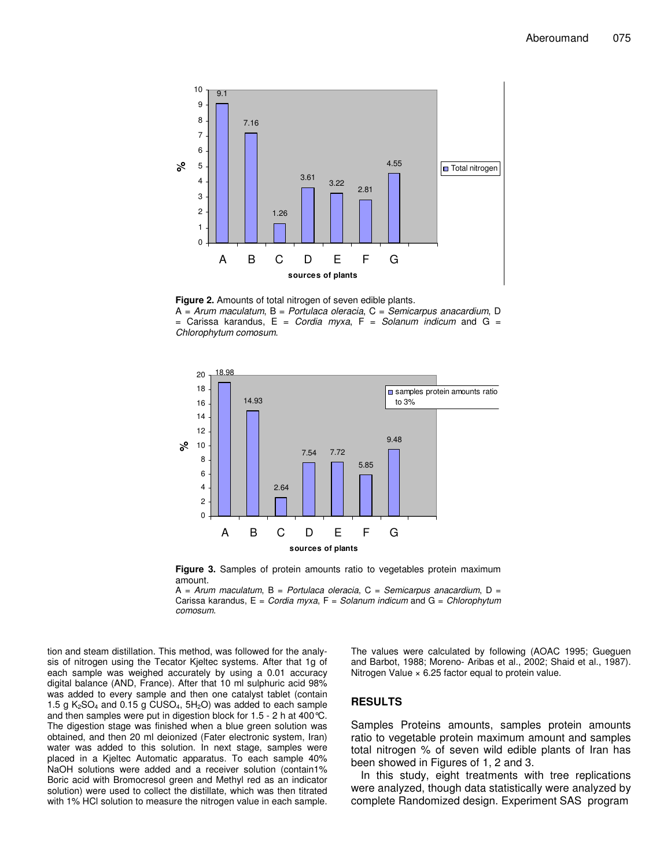

**Figure 2.** Amounts of total nitrogen of seven edible plants. A = *Arum maculatum*, B = *Portulaca oleracia*, C = *Semicarpus anacardium*, D = Carissa karandus, E = *Cordia myxa*, F = *Solanum indicum* and G = *Chlorophytum comosum*.





A = *Arum maculatum*, B = *Portulaca oleracia*, C = *Semicarpus anacardium*, D = Carissa karandus, E = *Cordia myxa*, F = *Solanum indicum* and G = *Chlorophytum comosum*.

tion and steam distillation. This method, was followed for the analysis of nitrogen using the Tecator Kjeltec systems. After that 1g of each sample was weighed accurately by using a 0.01 accuracy digital balance (AND, France). After that 10 ml sulphuric acid 98% was added to every sample and then one catalyst tablet (contain 1.5 g  $K_2SO_4$  and 0.15 g CUSO<sub>4</sub>,  $5H_2O$ ) was added to each sample and then samples were put in digestion block for 1.5 - 2 h at 400°C. The digestion stage was finished when a blue green solution was obtained, and then 20 ml deionized (Fater electronic system, Iran) water was added to this solution. In next stage, samples were placed in a Kjeltec Automatic apparatus. To each sample 40% NaOH solutions were added and a receiver solution (contain1% Boric acid with Bromocresol green and Methyl red as an indicator solution) were used to collect the distillate, which was then titrated with 1% HCl solution to measure the nitrogen value in each sample. The values were calculated by following (AOAC 1995; Gueguen and Barbot, 1988; Moreno- Aribas et al., 2002; Shaid et al., 1987). Nitrogen Value × 6.25 factor equal to protein value.

#### **RESULTS**

Samples Proteins amounts, samples protein amounts ratio to vegetable protein maximum amount and samples total nitrogen % of seven wild edible plants of Iran has been showed in Figures of 1, 2 and 3.

In this study, eight treatments with tree replications were analyzed, though data statistically were analyzed by complete Randomized design. Experiment SAS program